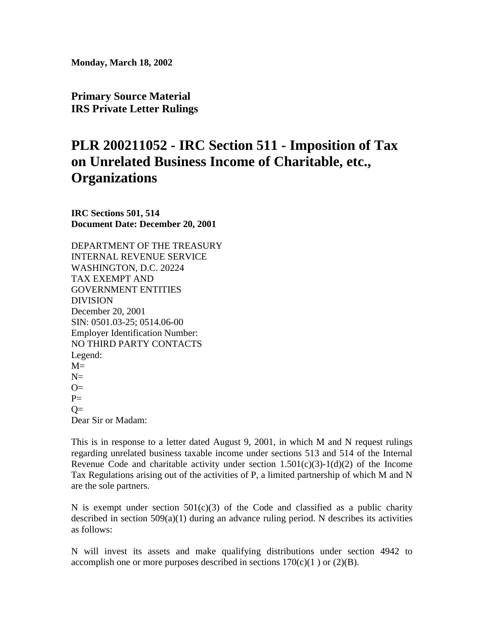**Monday, March 18, 2002** 

**Primary Source Material IRS Private Letter Rulings** 

## **PLR 200211052 - IRC Section 511 - Imposition of Tax on Unrelated Business Income of Charitable, etc., Organizations**

**IRC Sections 501, 514 Document Date: December 20, 2001** 

DEPARTMENT OF THE TREASURY INTERNAL REVENUE SERVICE WASHINGTON, D.C. 20224 TAX EXEMPT AND GOVERNMENT ENTITIES DIVISION December 20, 2001 SIN: 0501.03-25; 0514.06-00 Employer Identification Number: NO THIRD PARTY CONTACTS Legend:  $M=$  $N=$  $Q=$  $P=$  $Q=$ 

Dear Sir or Madam:

This is in response to a letter dated August 9, 2001, in which M and N request rulings regarding unrelated business taxable income under sections 513 and 514 of the Internal Revenue Code and charitable activity under section  $1.501(c)(3)-1(d)(2)$  of the Income Tax Regulations arising out of the activities of P, a limited partnership of which M and N are the sole partners.

N is exempt under section  $501(c)(3)$  of the Code and classified as a public charity described in section 509(a)(1) during an advance ruling period. N describes its activities as follows:

N will invest its assets and make qualifying distributions under section 4942 to accomplish one or more purposes described in sections  $170(c)(1)$  or  $(2)(B)$ .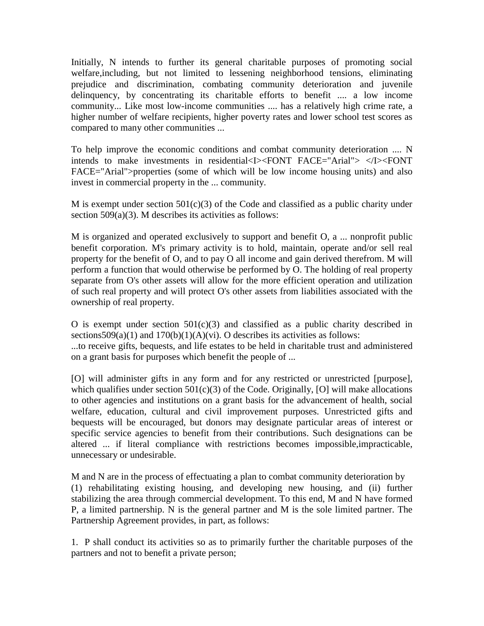Initially, N intends to further its general charitable purposes of promoting social welfare,including, but not limited to lessening neighborhood tensions, eliminating prejudice and discrimination, combating community deterioration and juvenile delinquency, by concentrating its charitable efforts to benefit .... a low income community... Like most low-income communities .... has a relatively high crime rate, a higher number of welfare recipients, higher poverty rates and lower school test scores as compared to many other communities ...

To help improve the economic conditions and combat community deterioration .... N intends to make investments in residential<I><FONT FACE="Arial"> </I><FONT FACE="Arial">properties (some of which will be low income housing units) and also invest in commercial property in the ... community.

M is exempt under section  $501(c)(3)$  of the Code and classified as a public charity under section 509(a)(3). M describes its activities as follows:

M is organized and operated exclusively to support and benefit O, a ... nonprofit public benefit corporation. M's primary activity is to hold, maintain, operate and/or sell real property for the benefit of O, and to pay O all income and gain derived therefrom. M will perform a function that would otherwise be performed by O. The holding of real property separate from O's other assets will allow for the more efficient operation and utilization of such real property and will protect O's other assets from liabilities associated with the ownership of real property.

O is exempt under section  $501(c)(3)$  and classified as a public charity described in sections  $509(a)(1)$  and  $170(b)(1)(A)(vi)$ . O describes its activities as follows:

...to receive gifts, bequests, and life estates to be held in charitable trust and administered on a grant basis for purposes which benefit the people of ...

[O] will administer gifts in any form and for any restricted or unrestricted [purpose], which qualifies under section  $501(c)(3)$  of the Code. Originally, [O] will make allocations to other agencies and institutions on a grant basis for the advancement of health, social welfare, education, cultural and civil improvement purposes. Unrestricted gifts and bequests will be encouraged, but donors may designate particular areas of interest or specific service agencies to benefit from their contributions. Such designations can be altered ... if literal compliance with restrictions becomes impossible,impracticable, unnecessary or undesirable.

M and N are in the process of effectuating a plan to combat community deterioration by (1) rehabilitating existing housing, and developing new housing, and (ii) further stabilizing the area through commercial development. To this end, M and N have formed P, a limited partnership. N is the general partner and M is the sole limited partner. The Partnership Agreement provides, in part, as follows:

1. P shall conduct its activities so as to primarily further the charitable purposes of the partners and not to benefit a private person;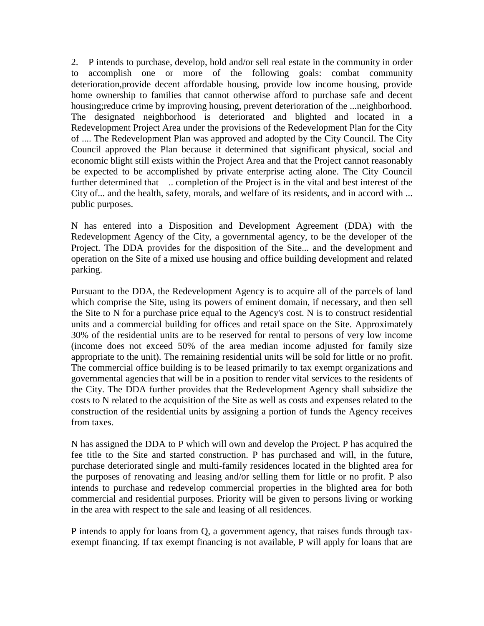2. P intends to purchase, develop, hold and/or sell real estate in the community in order to accomplish one or more of the following goals: combat community deterioration,provide decent affordable housing, provide low income housing, provide home ownership to families that cannot otherwise afford to purchase safe and decent housing;reduce crime by improving housing, prevent deterioration of the ...neighborhood. The designated neighborhood is deteriorated and blighted and located in a Redevelopment Project Area under the provisions of the Redevelopment Plan for the City of .... The Redevelopment Plan was approved and adopted by the City Council. The City Council approved the Plan because it determined that significant physical, social and economic blight still exists within the Project Area and that the Project cannot reasonably be expected to be accomplished by private enterprise acting alone. The City Council further determined that ... completion of the Project is in the vital and best interest of the City of... and the health, safety, morals, and welfare of its residents, and in accord with ... public purposes.

N has entered into a Disposition and Development Agreement (DDA) with the Redevelopment Agency of the City, a governmental agency, to be the developer of the Project. The DDA provides for the disposition of the Site... and the development and operation on the Site of a mixed use housing and office building development and related parking.

Pursuant to the DDA, the Redevelopment Agency is to acquire all of the parcels of land which comprise the Site, using its powers of eminent domain, if necessary, and then sell the Site to N for a purchase price equal to the Agency's cost. N is to construct residential units and a commercial building for offices and retail space on the Site. Approximately 30% of the residential units are to be reserved for rental to persons of very low income (income does not exceed 50% of the area median income adjusted for family size appropriate to the unit). The remaining residential units will be sold for little or no profit. The commercial office building is to be leased primarily to tax exempt organizations and governmental agencies that will be in a position to render vital services to the residents of the City. The DDA further provides that the Redevelopment Agency shall subsidize the costs to N related to the acquisition of the Site as well as costs and expenses related to the construction of the residential units by assigning a portion of funds the Agency receives from taxes.

N has assigned the DDA to P which will own and develop the Project. P has acquired the fee title to the Site and started construction. P has purchased and will, in the future, purchase deteriorated single and multi-family residences located in the blighted area for the purposes of renovating and leasing and/or selling them for little or no profit. P also intends to purchase and redevelop commercial properties in the blighted area for both commercial and residential purposes. Priority will be given to persons living or working in the area with respect to the sale and leasing of all residences.

P intends to apply for loans from Q, a government agency, that raises funds through taxexempt financing. If tax exempt financing is not available, P will apply for loans that are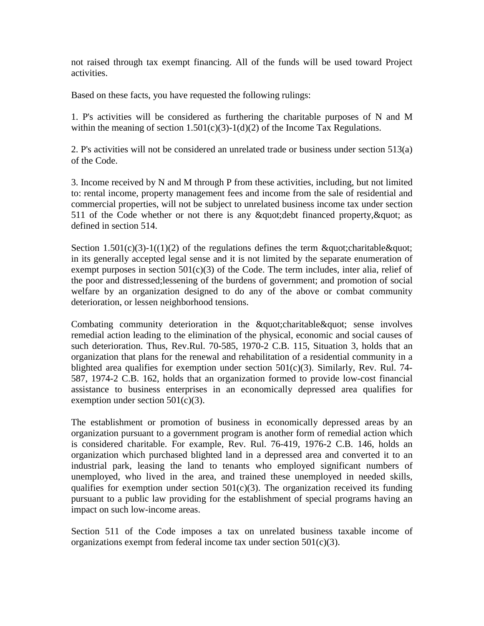not raised through tax exempt financing. All of the funds will be used toward Project activities.

Based on these facts, you have requested the following rulings:

1. P's activities will be considered as furthering the charitable purposes of N and M within the meaning of section  $1.501(c)(3)-1(d)(2)$  of the Income Tax Regulations.

2. P's activities will not be considered an unrelated trade or business under section 513(a) of the Code.

3. Income received by N and M through P from these activities, including, but not limited to: rental income, property management fees and income from the sale of residential and commercial properties, will not be subject to unrelated business income tax under section 511 of the Code whether or not there is any  $\&$  quot; debt financed property,  $\&$  quot; as defined in section 514.

Section 1.501(c)(3)-1((1)(2) of the regulations defines the term  $\&$ quot; charitable  $\&$ quot; in its generally accepted legal sense and it is not limited by the separate enumeration of exempt purposes in section  $501(c)(3)$  of the Code. The term includes, inter alia, relief of the poor and distressed;lessening of the burdens of government; and promotion of social welfare by an organization designed to do any of the above or combat community deterioration, or lessen neighborhood tensions.

Combating community deterioration in the " charitable " sense involves remedial action leading to the elimination of the physical, economic and social causes of such deterioration. Thus, Rev.Rul. 70-585, 1970-2 C.B. 115, Situation 3, holds that an organization that plans for the renewal and rehabilitation of a residential community in a blighted area qualifies for exemption under section  $501(c)(3)$ . Similarly, Rev. Rul. 74-587, 1974-2 C.B. 162, holds that an organization formed to provide low-cost financial assistance to business enterprises in an economically depressed area qualifies for exemption under section  $501(c)(3)$ .

The establishment or promotion of business in economically depressed areas by an organization pursuant to a government program is another form of remedial action which is considered charitable. For example, Rev. Rul. 76-419, 1976-2 C.B. 146, holds an organization which purchased blighted land in a depressed area and converted it to an industrial park, leasing the land to tenants who employed significant numbers of unemployed, who lived in the area, and trained these unemployed in needed skills, qualifies for exemption under section  $501(c)(3)$ . The organization received its funding pursuant to a public law providing for the establishment of special programs having an impact on such low-income areas.

Section 511 of the Code imposes a tax on unrelated business taxable income of organizations exempt from federal income tax under section  $501(c)(3)$ .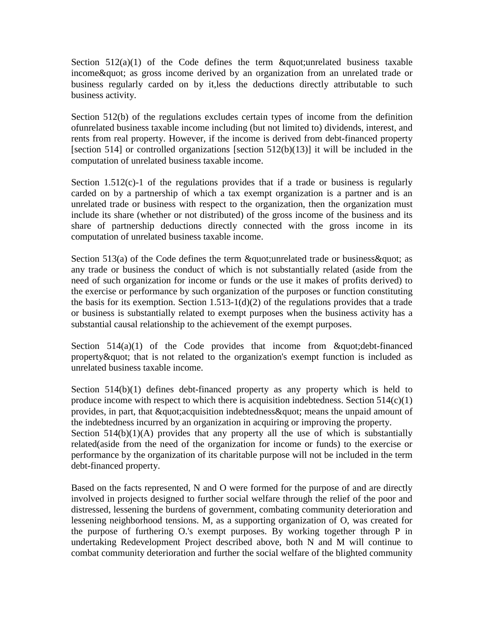Section  $512(a)(1)$  of the Code defines the term  $\&$ quot;unrelated business taxable income & quot; as gross income derived by an organization from an unrelated trade or business regularly carded on by it,less the deductions directly attributable to such business activity.

Section 512(b) of the regulations excludes certain types of income from the definition ofunrelated business taxable income including (but not limited to) dividends, interest, and rents from real property. However, if the income is derived from debt-financed property [section 514] or controlled organizations [section 512(b)(13)] it will be included in the computation of unrelated business taxable income.

Section  $1.512(c)$ -1 of the regulations provides that if a trade or business is regularly carded on by a partnership of which a tax exempt organization is a partner and is an unrelated trade or business with respect to the organization, then the organization must include its share (whether or not distributed) of the gross income of the business and its share of partnership deductions directly connected with the gross income in its computation of unrelated business taxable income.

Section 513(a) of the Code defines the term  $\&$  quot; unrelated trade or business  $\&$  quot; as any trade or business the conduct of which is not substantially related (aside from the need of such organization for income or funds or the use it makes of profits derived) to the exercise or performance by such organization of the purposes or function constituting the basis for its exemption. Section  $1.513-1(d)(2)$  of the regulations provides that a trade or business is substantially related to exempt purposes when the business activity has a substantial causal relationship to the achievement of the exempt purposes.

Section  $514(a)(1)$  of the Code provides that income from " debt-financed property  $\&$  quot; that is not related to the organization's exempt function is included as unrelated business taxable income.

Section 514(b)(1) defines debt-financed property as any property which is held to produce income with respect to which there is acquisition indebtedness. Section  $514(c)(1)$ provides, in part, that " acquisition indebtedness " means the unpaid amount of the indebtedness incurred by an organization in acquiring or improving the property. Section  $514(b)(1)(A)$  provides that any property all the use of which is substantially related(aside from the need of the organization for income or funds) to the exercise or performance by the organization of its charitable purpose will not be included in the term debt-financed property.

Based on the facts represented, N and O were formed for the purpose of and are directly involved in projects designed to further social welfare through the relief of the poor and distressed, lessening the burdens of government, combating community deterioration and lessening neighborhood tensions. M, as a supporting organization of O, was created for the purpose of furthering O.'s exempt purposes. By working together through P in undertaking Redevelopment Project described above, both N and M will continue to combat community deterioration and further the social welfare of the blighted community